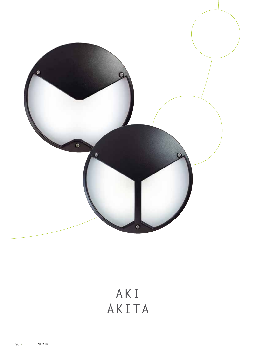

# AKI AKITA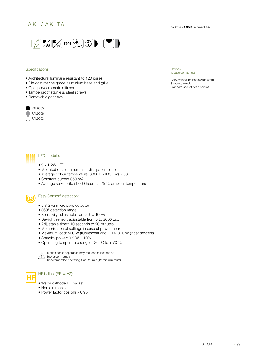

#### Specifications:

- Architectural luminaire resistant to 120 joules
- Die-cast marine grade aluminium base and grille
- Opal polycarbonate diffuser
- Tamperproof stainless steel screws
- Removable gear-tray





Options:

Conventional ballast (switch start) Separate circuit Standard socket head screws

XOHO DESIGN by Xavier Houy

#### LED module:

- $\bullet$  9 x 1.2W LED
- Mounted on aluminium heat dissipation plate
- Average colour temperature: 3800 K / IRC (Ra) > 80
- Constant current 350 mA
- Average service life 50000 hours at 25 °C ambient temperature

#### Easy-Sensor® detection:

- 5.8 GHz microwave detector
- 360° detection range
- Sensitivity adjustable from 20 to 100%
- Daylight sensor: adjustable from 5 to 2000 Lux
- Adjustable timer: 10 seconds to 20 minutes
- Memorisation of settings in case of power failure.
- Maximum load: 500 W (fluorescent and LED), 800 W (incandescent)
- Standby power:  $0.9 W \pm 10\%$
- Operating temperature range: 20 °C to + 70 °C



Motion sensor operation may reduce the life time of fluorescent lamps. Recommended operating time: 20 min (12 min minimum).

### HF ballast ( $EEl = A2$ ):

- Warm cathode HF ballast
- Non dimmable
- Power factor cos phi > 0.95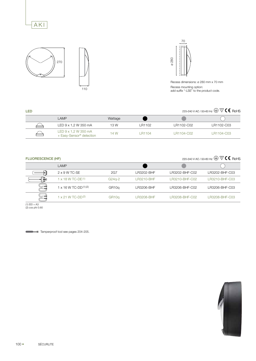







Recess dimensions: ø 280 mm x 70 mm Recess mounting option: add suffix "-LSE" to the product code.

## 220-240 V AC / 50-60 Hz  $\textcircled{\tiny\#}$   $\mathbb{\nabla}$   $\textsf{C}$  RoHS

| <b>LED</b> |                                                                                      |         |         | 220-240 V AC / 50-60 Hz $\bigoplus \overline{\nabla} \textsf{CE}$ RoHS |            |  |
|------------|--------------------------------------------------------------------------------------|---------|---------|------------------------------------------------------------------------|------------|--|
|            | LAMP                                                                                 | Wattage |         |                                                                        |            |  |
|            | LED 9 x 1,2 W 350 mA                                                                 | 13 W    | LR1102  | LR1102-C02                                                             | LR1102-C03 |  |
| $\equiv$   | LED $9 \times 1,2 \text{ W } 350 \text{ mA}$<br>+ Easy-Sensor <sup>®</sup> detection | 14 W    | I R1104 | LR1104-C02                                                             | LR1104-C03 |  |

#### FLUORESCENCE (HF)

## 220-240 V AC / 50-60 Hz  $\bigoplus \nabla C$  C RoHS

|   | LAMP                           |                    |            |                |                |
|---|--------------------------------|--------------------|------------|----------------|----------------|
|   | $2 \times 9$ W TC-SE           | 2G7                | LR3202-BHF | R3202-BHF-C02  | LR3202-BHF-C03 |
| Þ | $1 \times 18$ W TC-DE $(1)$    | $G24q-2$           | LR3210-BHF | LR3210-BHF-C02 | LR3210-BHF-C03 |
|   | $1 \times 16$ W TC-DD $(1)(2)$ | GR <sub>10</sub> q | LR3206-BHF | LR3206-BHF-C02 | LR3206-BHF-C03 |
|   | $1 \times 21$ W TC-DD(2)       | GR <sub>10</sub> q | LR3208-BHF | R3208-BHF-C02  | LR3208-BHF-C03 |

(1) EEI = A3 (2) cos phi 0.60

Tamperproof tool see pages 204-205.